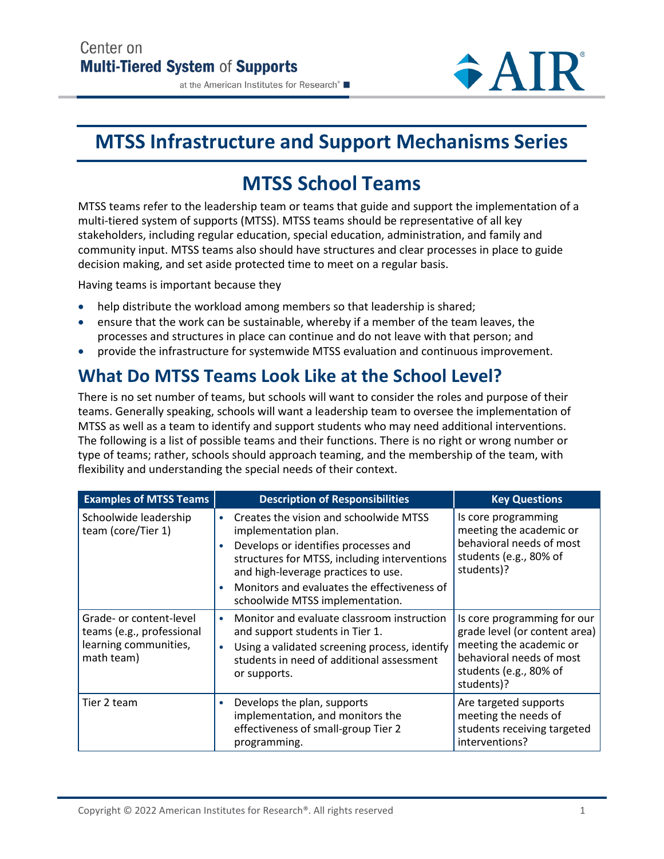#### at the American Institutes for Research®

# **MTSS Infrastructure and Support Mechanisms Series**

# **MTSS School Teams**

MTSS teams refer to the leadership team or teams that guide and support the implementation of a multi-tiered system of supports (MTSS). MTSS teams should be representative of all key stakeholders, including regular education, special education, administration, and family and community input. MTSS teams also should have structures and clear processes in place to guide decision making, and set aside protected time to meet on a regular basis.

Having teams is important because they

- help distribute the workload among members so that leadership is shared;
- ensure that the work can be sustainable, whereby if a member of the team leaves, the processes and structures in place can continue and do not leave with that person; and
- provide the infrastructure for systemwide MTSS evaluation and continuous improvement.

## **What Do MTSS Teams Look Like at the School Level?**

There is no set number of teams, but schools will want to consider the roles and purpose of their teams. Generally speaking, schools will want a leadership team to oversee the implementation of MTSS as well as a team to identify and support students who may need additional interventions. The following is a list of possible teams and their functions. There is no right or wrong number or type of teams; rather, schools should approach teaming, and the membership of the team, with flexibility and understanding the special needs of their context.

| <b>Examples of MTSS Teams</b>                                                               | <b>Description of Responsibilities</b>                                                                                                                                                                                                                                                                                 | <b>Key Questions</b>                                                                                               |  |
|---------------------------------------------------------------------------------------------|------------------------------------------------------------------------------------------------------------------------------------------------------------------------------------------------------------------------------------------------------------------------------------------------------------------------|--------------------------------------------------------------------------------------------------------------------|--|
| Schoolwide leadership<br>team (core/Tier 1)                                                 | Creates the vision and schoolwide MTSS<br>$\bullet$<br>implementation plan.<br>Develops or identifies processes and<br>$\bullet$<br>structures for MTSS, including interventions<br>and high-leverage practices to use.<br>Monitors and evaluates the effectiveness of<br>$\bullet$<br>schoolwide MTSS implementation. | Is core programming<br>meeting the academic or<br>behavioral needs of most<br>students (e.g., 80% of<br>students)? |  |
| Grade- or content-level<br>teams (e.g., professional<br>learning communities,<br>math team) | Monitor and evaluate classroom instruction<br>$\bullet$<br>and support students in Tier 1.<br>Using a validated screening process, identify<br>$\bullet$<br>students in need of additional assessment<br>or supports.                                                                                                  |                                                                                                                    |  |
| Tier 2 team                                                                                 | Develops the plan, supports<br>$\bullet$<br>implementation, and monitors the<br>effectiveness of small-group Tier 2<br>programming.                                                                                                                                                                                    | Are targeted supports<br>meeting the needs of<br>students receiving targeted<br>interventions?                     |  |